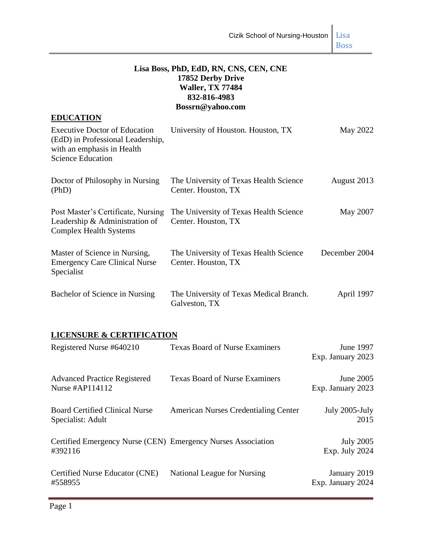## **Lisa Boss, PhD, EdD, RN, CNS, CEN, CNE 17852 Derby Drive Waller, TX 77484 832-816-4983 Bossrn@yahoo.com**

| <b>EDUCATION</b>                                                                                                                    |                                                               |               |
|-------------------------------------------------------------------------------------------------------------------------------------|---------------------------------------------------------------|---------------|
| <b>Executive Doctor of Education</b><br>(EdD) in Professional Leadership,<br>with an emphasis in Health<br><b>Science Education</b> | University of Houston. Houston, TX                            | May 2022      |
| Doctor of Philosophy in Nursing<br>(PhD)                                                                                            | The University of Texas Health Science<br>Center. Houston, TX | August 2013   |
| Post Master's Certificate, Nursing<br>Leadership $\&$ Administration of<br><b>Complex Health Systems</b>                            | The University of Texas Health Science<br>Center. Houston, TX | May 2007      |
| Master of Science in Nursing,<br><b>Emergency Care Clinical Nurse</b><br>Specialist                                                 | The University of Texas Health Science<br>Center. Houston, TX | December 2004 |
| Bachelor of Science in Nursing                                                                                                      | The University of Texas Medical Branch.<br>Galveston, TX      | April 1997    |

## **LICENSURE & CERTIFICATION**

| Registered Nurse #640210                                                | <b>Texas Board of Nurse Examiners</b>       | June 1997<br>Exp. January 2023     |
|-------------------------------------------------------------------------|---------------------------------------------|------------------------------------|
| <b>Advanced Practice Registered</b><br>Nurse #AP114112                  | <b>Texas Board of Nurse Examiners</b>       | June 2005<br>Exp. January 2023     |
| <b>Board Certified Clinical Nurse</b><br>Specialist: Adult              | <b>American Nurses Credentialing Center</b> | July 2005-July<br>2015             |
| Certified Emergency Nurse (CEN) Emergency Nurses Association<br>#392116 |                                             | <b>July 2005</b><br>Exp. July 2024 |
| Certified Nurse Educator (CNE)<br>#558955                               | National League for Nursing                 | January 2019<br>Exp. January 2024  |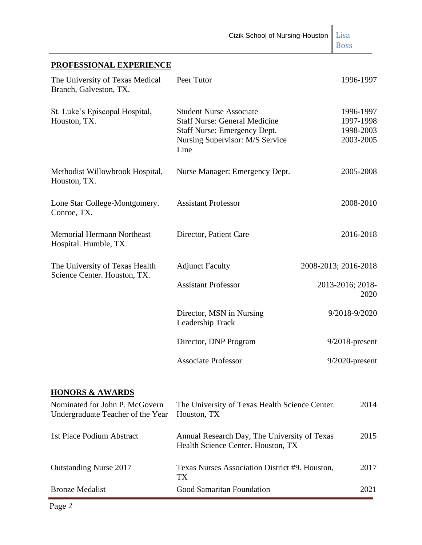# **PROFESSIONAL EXPERIENCE**

| The University of Texas Medical<br>Branch, Galveston, TX.      | Peer Tutor                                                                                                                                        | 1996-1997                                        |
|----------------------------------------------------------------|---------------------------------------------------------------------------------------------------------------------------------------------------|--------------------------------------------------|
| St. Luke's Episcopal Hospital,<br>Houston, TX.                 | <b>Student Nurse Associate</b><br><b>Staff Nurse: General Medicine</b><br>Staff Nurse: Emergency Dept.<br>Nursing Supervisor: M/S Service<br>Line | 1996-1997<br>1997-1998<br>1998-2003<br>2003-2005 |
| Methodist Willowbrook Hospital,<br>Houston, TX.                | Nurse Manager: Emergency Dept.                                                                                                                    | 2005-2008                                        |
| Lone Star College-Montgomery.<br>Conroe, TX.                   | <b>Assistant Professor</b>                                                                                                                        | 2008-2010                                        |
| <b>Memorial Hermann Northeast</b><br>Hospital. Humble, TX.     | Director, Patient Care                                                                                                                            | 2016-2018                                        |
| The University of Texas Health<br>Science Center. Houston, TX. | <b>Adjunct Faculty</b>                                                                                                                            | 2008-2013; 2016-2018                             |
|                                                                | <b>Assistant Professor</b>                                                                                                                        | 2013-2016; 2018-<br>2020                         |
|                                                                | Director, MSN in Nursing<br>Leadership Track                                                                                                      | 9/2018-9/2020                                    |
|                                                                | Director, DNP Program                                                                                                                             | $9/2018$ -present                                |
|                                                                | <b>Associate Professor</b>                                                                                                                        | $9/2020$ -present                                |

# **HONORS & AWARDS**

| Nominated for John P. McGovern<br>Undergraduate Teacher of the Year | The University of Texas Health Science Center.<br>Houston, TX                      | 2014 |
|---------------------------------------------------------------------|------------------------------------------------------------------------------------|------|
| 1st Place Podium Abstract                                           | Annual Research Day, The University of Texas<br>Health Science Center. Houston, TX | 2015 |
| <b>Outstanding Nurse 2017</b>                                       | Texas Nurses Association District #9. Houston,<br>TX <sup>-</sup>                  | 2017 |
| <b>Bronze Medalist</b>                                              | Good Samaritan Foundation                                                          | 2021 |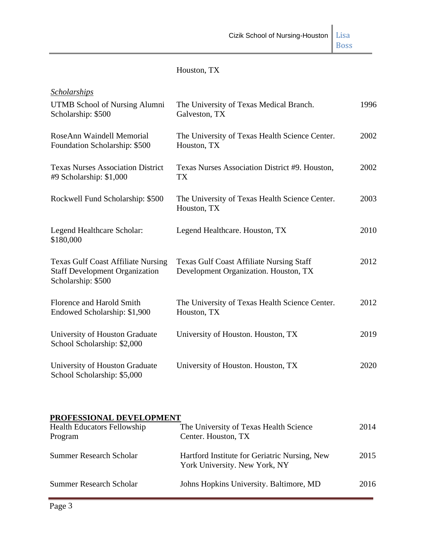| Houston, TX |  |
|-------------|--|
|-------------|--|

| Scholarships                                                                                             |                                                                                          |      |
|----------------------------------------------------------------------------------------------------------|------------------------------------------------------------------------------------------|------|
| <b>UTMB School of Nursing Alumni</b><br>Scholarship: \$500                                               | The University of Texas Medical Branch.<br>Galveston, TX                                 | 1996 |
| RoseAnn Waindell Memorial<br>Foundation Scholarship: \$500                                               | The University of Texas Health Science Center.<br>Houston, TX                            | 2002 |
| <b>Texas Nurses Association District</b><br>#9 Scholarship: \$1,000                                      | Texas Nurses Association District #9. Houston,<br><b>TX</b>                              | 2002 |
| Rockwell Fund Scholarship: \$500                                                                         | The University of Texas Health Science Center.<br>Houston, TX                            | 2003 |
| Legend Healthcare Scholar:<br>\$180,000                                                                  | Legend Healthcare. Houston, TX                                                           | 2010 |
| <b>Texas Gulf Coast Affiliate Nursing</b><br><b>Staff Development Organization</b><br>Scholarship: \$500 | <b>Texas Gulf Coast Affiliate Nursing Staff</b><br>Development Organization. Houston, TX | 2012 |
| Florence and Harold Smith<br>Endowed Scholarship: \$1,900                                                | The University of Texas Health Science Center.<br>Houston, TX                            | 2012 |
| University of Houston Graduate<br>School Scholarship: \$2,000                                            | University of Houston. Houston, TX                                                       | 2019 |
| University of Houston Graduate<br>School Scholarship: \$5,000                                            | University of Houston. Houston, TX                                                       | 2020 |

| PROFESSIONAL DEVELOPMENT           |                                               |      |
|------------------------------------|-----------------------------------------------|------|
| <b>Health Educators Fellowship</b> | The University of Texas Health Science        | 2014 |
| Program                            | Center. Houston, TX                           |      |
| Summer Research Scholar            | Hartford Institute for Geriatric Nursing, New | 2015 |
|                                    | York University. New York, NY                 |      |
| Summer Research Scholar            | Johns Hopkins University. Baltimore, MD       | 2016 |
|                                    |                                               |      |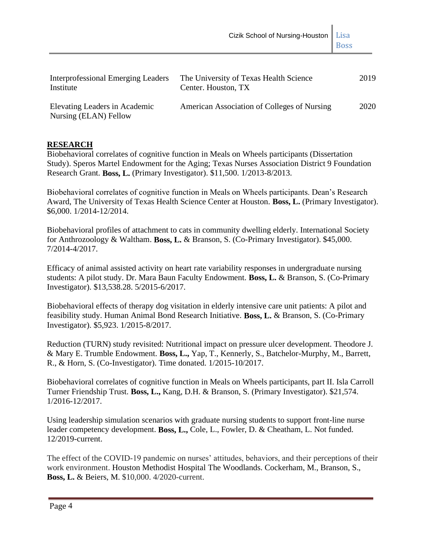| Interprofessional Emerging Leaders<br>Institute        | The University of Texas Health Science<br>Center. Houston, TX | 2019 |
|--------------------------------------------------------|---------------------------------------------------------------|------|
| Elevating Leaders in Academic<br>Nursing (ELAN) Fellow | American Association of Colleges of Nursing                   | 2020 |

## **RESEARCH**

Biobehavioral correlates of cognitive function in Meals on Wheels participants (Dissertation Study). Speros Martel Endowment for the Aging; Texas Nurses Association District 9 Foundation Research Grant. **Boss, L.** (Primary Investigator). \$11,500. 1/2013-8/2013.

Biobehavioral correlates of cognitive function in Meals on Wheels participants. Dean's Research Award, The University of Texas Health Science Center at Houston. **Boss, L.** (Primary Investigator). \$6,000. 1/2014-12/2014.

Biobehavioral profiles of attachment to cats in community dwelling elderly. International Society for Anthrozoology & Waltham. **Boss, L.** & Branson, S. (Co-Primary Investigator). \$45,000. 7/2014-4/2017.

Efficacy of animal assisted activity on heart rate variability responses in undergraduate nursing students: A pilot study. Dr. Mara Baun Faculty Endowment. **Boss, L.** & Branson, S. (Co-Primary Investigator). \$13,538.28. 5/2015-6/2017.

Biobehavioral effects of therapy dog visitation in elderly intensive care unit patients: A pilot and feasibility study. Human Animal Bond Research Initiative. **Boss, L.** & Branson, S. (Co-Primary Investigator). \$5,923. 1/2015-8/2017.

Reduction (TURN) study revisited: Nutritional impact on pressure ulcer development. Theodore J. & Mary E. Trumble Endowment. **Boss, L.,** Yap, T., Kennerly, S., Batchelor-Murphy, M., Barrett, R., & Horn, S. (Co-Investigator). Time donated. 1/2015-10/2017.

Biobehavioral correlates of cognitive function in Meals on Wheels participants, part II. Isla Carroll Turner Friendship Trust. **Boss, L.,** Kang, D.H. & Branson, S. (Primary Investigator). \$21,574. 1/2016-12/2017.

Using leadership simulation scenarios with graduate nursing students to support front-line nurse leader competency development. **Boss, L.,** Cole, L., Fowler, D. & Cheatham, L. Not funded. 12/2019-current.

The effect of the COVID-19 pandemic on nurses' attitudes, behaviors, and their perceptions of their work environment. Houston Methodist Hospital The Woodlands. Cockerham, M., Branson, S., **Boss, L.** & Beiers, M. \$10,000. 4/2020-current.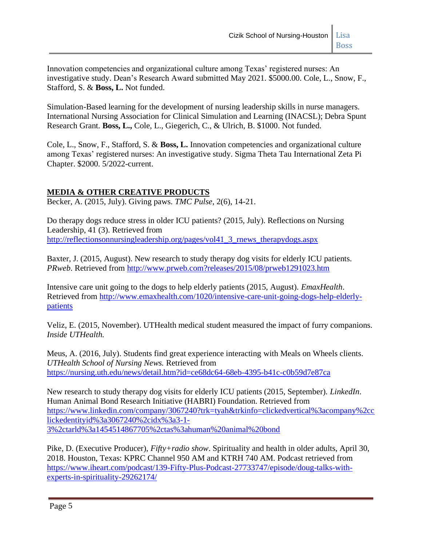Innovation competencies and organizational culture among Texas' registered nurses: An investigative study. Dean's Research Award submitted May 2021. \$5000.00. Cole, L., Snow, F., Stafford, S. & **Boss, L.** Not funded.

Simulation-Based learning for the development of nursing leadership skills in nurse managers. International Nursing Association for Clinical Simulation and Learning (INACSL); Debra Spunt Research Grant. **Boss, L.,** Cole, L., Giegerich, C., & Ulrich, B. \$1000. Not funded.

Cole, L., Snow, F., Stafford, S. & **Boss, L.** Innovation competencies and organizational culture among Texas' registered nurses: An investigative study. Sigma Theta Tau International Zeta Pi Chapter. \$2000. 5/2022-current.

# **MEDIA & OTHER CREATIVE PRODUCTS**

Becker, A. (2015, July). Giving paws. *TMC Pulse*, 2(6), 14-21.

Do therapy dogs reduce stress in older ICU patients? (2015, July). Reflections on Nursing Leadership, 41 (3). Retrieved from [http://reflectionsonnursingleadership.org/pages/vol41\\_3\\_rnews\\_therapydogs.aspx](http://reflectionsonnursingleadership.org/pages/vol41_3_rnews_therapydogs.aspx)

Baxter, J. (2015, August). New research to study therapy dog visits for elderly ICU patients. *PRweb*. Retrieved from [http://www.prweb.com?releases/2015/08/prweb1291023.htm](http://www.prweb.com/?releases/2015/08/prweb1291023.htm)

Intensive care unit going to the dogs to help elderly patients (2015, August). *EmaxHealth*. Retrieved from [http://www.emaxhealth.com/1020/intensive-care-unit-going-dogs-help-elderly](http://www.emaxhealth.com/1020/intensive-care-unit-going-dogs-help-elderly-patients)[patients](http://www.emaxhealth.com/1020/intensive-care-unit-going-dogs-help-elderly-patients)

Veliz, E. (2015, November). UTHealth medical student measured the impact of furry companions. *Inside UTHealth.*

Meus, A. (2016, July). Students find great experience interacting with Meals on Wheels clients. *UTHealth School of Nursing News.* Retrieved from <https://nursing.uth.edu/news/detail.htm?id=ce68dc64-68eb-4395-b41c-c0b59d7e87ca>

New research to study therapy dog visits for elderly ICU patients (2015, September). *LinkedIn*. Human Animal Bond Research Initiative (HABRI) Foundation. Retrieved from [https://www.linkedin.com/company/3067240?trk=tyah&trkinfo=clickedvertical%3acompany%2cc](https://www.linkedin.com/company/3067240?trk=tyah&trkinfo=clickedvertical%3acompany%2cclickedentityid%3a3067240%2cidx%3a3-1-3%2ctarld%3a1454514867705%2ctas%3ahuman%20animal%20bond) [lickedentityid%3a3067240%2cidx%3a3-1-](https://www.linkedin.com/company/3067240?trk=tyah&trkinfo=clickedvertical%3acompany%2cclickedentityid%3a3067240%2cidx%3a3-1-3%2ctarld%3a1454514867705%2ctas%3ahuman%20animal%20bond) [3%2ctarld%3a1454514867705%2ctas%3ahuman%20animal%20bond](https://www.linkedin.com/company/3067240?trk=tyah&trkinfo=clickedvertical%3acompany%2cclickedentityid%3a3067240%2cidx%3a3-1-3%2ctarld%3a1454514867705%2ctas%3ahuman%20animal%20bond)

Pike, D. (Executive Producer), *Fifty+radio show*. Spirituality and health in older adults, April 30, 2018. Houston, Texas: KPRC Channel 950 AM and KTRH 740 AM. Podcast retrieved from [https://www.iheart.com/podcast/139-Fifty-Plus-Podcast-27733747/episode/doug-talks-with](https://www.iheart.com/podcast/139-Fifty-Plus-Podcast-27733747/episode/doug-talks-with-experts-in-spirituality-29262174/)[experts-in-spirituality-29262174/](https://www.iheart.com/podcast/139-Fifty-Plus-Podcast-27733747/episode/doug-talks-with-experts-in-spirituality-29262174/)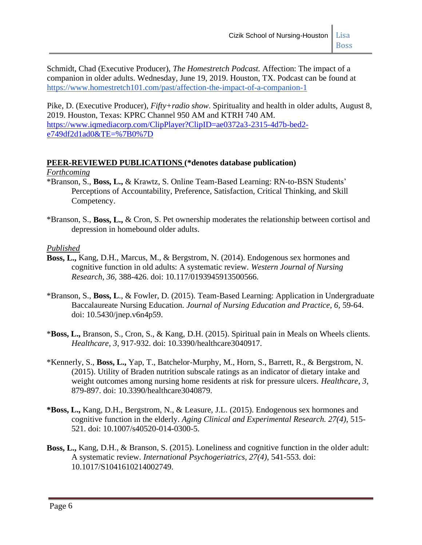Schmidt, Chad (Executive Producer), *The Homestretch Podcast.* Affection: The impact of a companion in older adults. Wednesday, June 19, 2019. Houston, TX. Podcast can be found at <https://www.homestretch101.com/past/affection-the-impact-of-a-companion-1>

Pike, D. (Executive Producer), *Fifty+radio show*. Spirituality and health in older adults, August 8, 2019. Houston, Texas: KPRC Channel 950 AM and KTRH 740 AM. [https://www.iqmediacorp.com/ClipPlayer?ClipID=ae0372a3-2315-4d7b-bed2](https://www.iqmediacorp.com/ClipPlayer?ClipID=ae0372a3-2315-4d7b-bed2-e749df2d1ad0&TE=%7B0%7D) [e749df2d1ad0&TE=%7B0%7D](https://www.iqmediacorp.com/ClipPlayer?ClipID=ae0372a3-2315-4d7b-bed2-e749df2d1ad0&TE=%7B0%7D)

### **PEER-REVIEWED PUBLICATIONS (\*denotes database publication)**

*Forthcoming*

- \*Branson, S., **Boss, L.,** & Krawtz, S. Online Team-Based Learning: RN-to-BSN Students' Perceptions of Accountability, Preference, Satisfaction, Critical Thinking, and Skill Competency.
- \*Branson, S., **Boss, L.,** & Cron, S. Pet ownership moderates the relationship between cortisol and depression in homebound older adults.

#### *Published*

- **Boss, L.,** Kang, D.H., Marcus, M., & Bergstrom, N. (2014). Endogenous sex hormones and cognitive function in old adults: A systematic review. *Western Journal of Nursing Research, 36,* 388-426. doi: 10.117/0193945913500566.
- \*Branson, S., **Boss, L**., & Fowler, D. (2015). Team-Based Learning: Application in Undergraduate Baccalaureate Nursing Education. *Journal of Nursing Education and Practice, 6,* 59-64. doi: 10.5430/jnep.v6n4p59.
- \***Boss, L.,** Branson, S., Cron, S., & Kang, D.H. (2015). Spiritual pain in Meals on Wheels clients. *Healthcare*, *3*, 917-932. doi: 10.3390/healthcare3040917.
- \*Kennerly, S., **Boss, L.,** Yap, T., Batchelor-Murphy, M., Horn, S., Barrett, R., & Bergstrom, N. (2015). Utility of Braden nutrition subscale ratings as an indicator of dietary intake and weight outcomes among nursing home residents at risk for pressure ulcers. *Healthcare*, *3,* 879-897. doi: 10.3390/healthcare3040879.
- **\*Boss, L.,** Kang, D.H., Bergstrom, N., & Leasure, J.L. (2015). Endogenous sex hormones and cognitive function in the elderly. *Aging Clinical and Experimental Research. 27(4),* 515- 521. doi: 10.1007/s40520-014-0300-5.
- **Boss, L.,** Kang, D.H., & Branson, S. (2015). Loneliness and cognitive function in the older adult: A systematic review. *International Psychogeriatrics, 27(4),* 541-553. doi: 10.1017/S1041610214002749.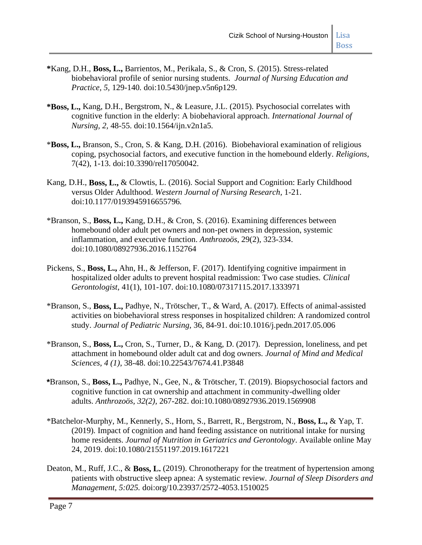- **\***Kang, D.H., **Boss, L.,** Barrientos, M., Perikala, S., & Cron, S. (2015). Stress-related biobehavioral profile of senior nursing students. *Journal of Nursing Education and Practice, 5,* 129-140*.* doi:10.5430/jnep.v5n6p129.
- **\*Boss, L.,** Kang, D.H., Bergstrom, N., & Leasure, J.L. (2015). Psychosocial correlates with cognitive function in the elderly: A biobehavioral approach. *International Journal of Nursing, 2,* 48-55. doi:10.1564/ijn.v2n1a5.
- \***Boss, L.,** Branson, S., Cron, S. & Kang, D.H. (2016). Biobehavioral examination of religious coping, psychosocial factors, and executive function in the homebound elderly. *Religions*, 7(42), 1-13. doi:10.3390/rel17050042.
- Kang, D.H., **Boss, L.,** & Clowtis, L. (2016). Social Support and Cognition: Early Childhood versus Older Adulthood. *Western Journal of Nursing Research,* 1-21. doi:10.1177/0193945916655796*.*
- \*Branson, S., **Boss, L.,** Kang, D.H., & Cron, S. (2016). Examining differences between homebound older adult pet owners and non-pet owners in depression, systemic inflammation, and executive function. *Anthrozoös*, 29(2), 323-334. doi:10.1080/08927936.2016.1152764
- Pickens, S., **Boss, L.,** Ahn, H., & Jefferson, F. (2017). Identifying cognitive impairment in hospitalized older adults to prevent hospital readmission: Two case studies. *Clinical Gerontologist*, 41(1), 101-107. doi:10.1080/07317115.2017.1333971
- \*Branson, S., **Boss, L.,** Padhye, N., Trötscher, T., & Ward, A. (2017). Effects of animal-assisted activities on biobehavioral stress responses in hospitalized children: A randomized control study. *Journal of Pediatric Nursing,* 36, 84-91. doi:10.1016/j.pedn.2017.05.006
- \*Branson, S., **Boss, L.,** Cron, S., Turner, D., & Kang, D. (2017). Depression, loneliness, and pet attachment in homebound older adult cat and dog owners. *Journal of Mind and Medical Sciences, 4 (1)*, 38-48. doi:10.22543/7674.41.P3848
- **\***Branson, S., **Boss, L.,** Padhye, N., Gee, N., & Trötscher, T. (2019). Biopsychosocial factors and cognitive function in cat ownership and attachment in community-dwelling older adults. *Anthrozoös, 32(2),* 267-282. doi:10.1080/08927936.2019.1569908
- \*Batchelor-Murphy, M., Kennerly, S., Horn, S., Barrett, R., Bergstrom, N., **Boss, L.,** & Yap, T. (2019)*.* Impact of cognition and hand feeding assistance on nutritional intake for nursing home residents. *Journal of Nutrition in Geriatrics and Gerontology*. Available online May 24, 2019. doi:10.1080/21551197.2019.1617221
- Deaton, M., Ruff, J.C., & **Boss, L.** (2019). Chronotherapy for the treatment of hypertension among patients with obstructive sleep apnea: A systematic review. *Journal of Sleep Disorders and Management, 5:025.* doi:org/10.23937/2572-4053.1510025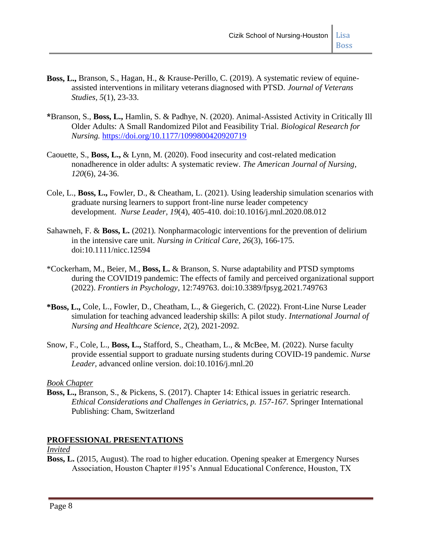- **Boss, L.,** Branson, S., Hagan, H., & Krause-Perillo, C. (2019). A systematic review of equineassisted interventions in military veterans diagnosed with PTSD. *Journal of Veterans Studies, 5*(1), 23-33.
- **\***Branson, S., **Boss, L.,** Hamlin, S. & Padhye, N. (2020). Animal-Assisted Activity in Critically Ill Older Adults: A Small Randomized Pilot and Feasibility Trial. *Biological Research for Nursing.* <https://doi.org/10.1177/1099800420920719>
- Caouette, S., **Boss, L.,** & Lynn, M. (2020). Food insecurity and cost-related medication nonadherence in older adults: A systematic review. *The American Journal of Nursing, 120*(6), 24-36.
- Cole, L., **Boss, L.,** Fowler, D., & Cheatham, L. (2021). Using leadership simulation scenarios with graduate nursing learners to support front-line nurse leader competency development. *Nurse Leader, 19*(4), 405-410. doi:10.1016/j.mnl.2020.08.012
- Sahawneh, F. & **Boss, L.** (2021)*.* Nonpharmacologic interventions for the prevention of delirium in the intensive care unit. *Nursing in Critical Care, 26*(3), 166-175. doi:10.1111/nicc.12594
- \*Cockerham, M., Beier, M., **Boss, L.** & Branson, S. Nurse adaptability and PTSD symptoms during the COVID19 pandemic: The effects of family and perceived organizational support (2022). *Frontier*s *in Psychology*, 12:749763. doi:10.3389/fpsyg.2021.749763
- **\*Boss, L.,** Cole, L., Fowler, D., Cheatham, L., & Giegerich, C*.* (2022). Front-Line Nurse Leader simulation for teaching advanced leadership skills: A pilot study. *International Journal of Nursing and Healthcare Science, 2*(2), 2021-2092.
- Snow, F., Cole, L., **Boss, L.,** Stafford, S., Cheatham, L., & McBee, M. (2022). Nurse faculty provide essential support to graduate nursing students during COVID-19 pandemic. *Nurse Leader,* advanced online version. doi:10.1016/j.mnl.20

#### *Book Chapter*

**Boss, L.,** Branson, S., & Pickens, S. (2017). Chapter 14: Ethical issues in geriatric research. *Ethical Considerations and Challenges in Geriatrics, p. 157-167.* Springer International Publishing: Cham, Switzerland

## **PROFESSIONAL PRESENTATIONS**

*Invited*

**Boss, L.** (2015, August). The road to higher education. Opening speaker at Emergency Nurses Association, Houston Chapter #195's Annual Educational Conference, Houston, TX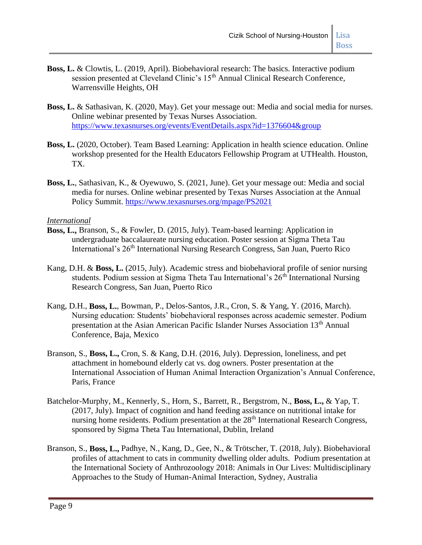- **Boss, L.** & Clowtis, L. (2019, April). Biobehavioral research: The basics. Interactive podium session presented at Cleveland Clinic's 15<sup>th</sup> Annual Clinical Research Conference, Warrensville Heights, OH
- **Boss, L.** & Sathasivan, K. (2020, May). Get your message out: Media and social media for nurses. Online webinar presented by Texas Nurses Association. <https://www.texasnurses.org/events/EventDetails.aspx?id=1376604&group>
- **Boss, L.** (2020, October). Team Based Learning: Application in health science education. Online workshop presented for the Health Educators Fellowship Program at UTHealth. Houston, TX.
- **Boss, L.**, Sathasivan, K., & Oyewuwo, S. (2021, June). Get your message out: Media and social media for nurses. Online webinar presented by Texas Nurses Association at the Annual Policy Summit.<https://www.texasnurses.org/mpage/PS2021>

#### *International*

- **Boss, L.,** Branson, S., & Fowler, D. (2015, July). Team-based learning: Application in undergraduate baccalaureate nursing education. Poster session at Sigma Theta Tau International's 26<sup>th</sup> International Nursing Research Congress, San Juan, Puerto Rico
- Kang, D.H. & **Boss, L.** (2015, July). Academic stress and biobehavioral profile of senior nursing students. Podium session at Sigma Theta Tau International's  $26<sup>th</sup>$  International Nursing Research Congress, San Juan, Puerto Rico
- Kang, D.H., **Boss, L.**, Bowman, P., Delos-Santos, J.R., Cron, S. & Yang, Y. (2016, March). Nursing education: Students' biobehavioral responses across academic semester. Podium presentation at the Asian American Pacific Islander Nurses Association 13<sup>th</sup> Annual Conference, Baja, Mexico
- Branson, S., **Boss, L.,** Cron, S. & Kang, D.H. (2016, July). Depression, loneliness, and pet attachment in homebound elderly cat vs. dog owners. Poster presentation at the International Association of Human Animal Interaction Organization's Annual Conference, Paris, France
- Batchelor-Murphy, M., Kennerly, S., Horn, S., Barrett, R., Bergstrom, N., **Boss, L.,** & Yap, T. (2017, July). Impact of cognition and hand feeding assistance on nutritional intake for nursing home residents. Podium presentation at the  $28<sup>th</sup>$  International Research Congress, sponsored by Sigma Theta Tau International, Dublin, Ireland
- Branson, S., **Boss, L.,** Padhye, N., Kang, D., Gee, N., & Trötscher, T. (2018, July). Biobehavioral profiles of attachment to cats in community dwelling older adults. Podium presentation at the International Society of Anthrozoology 2018: Animals in Our Lives: Multidisciplinary Approaches to the Study of Human-Animal Interaction, Sydney, Australia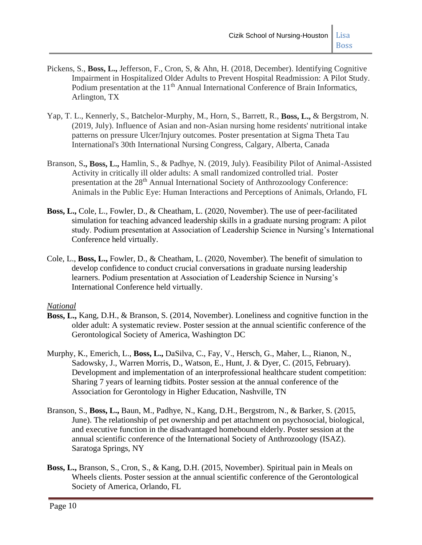- Pickens, S., **Boss, L.,** Jefferson, F., Cron, S, & Ahn, H. (2018, December). Identifying Cognitive Impairment in Hospitalized Older Adults to Prevent Hospital Readmission: A Pilot Study. Podium presentation at the 11<sup>th</sup> Annual International Conference of Brain Informatics, Arlington, TX
- Yap, T. L., Kennerly, S., Batchelor-Murphy, M., Horn, S., Barrett, R., **Boss, L.,** & Bergstrom, N. (2019, July). Influence of Asian and non-Asian nursing home residents' nutritional intake patterns on pressure Ulcer/Injury outcomes. Poster presentation at Sigma Theta Tau International's 30th International Nursing Congress, Calgary, Alberta, Canada
- Branson, S**., Boss, L.,** Hamlin, S., & Padhye, N. (2019, July). Feasibility Pilot of Animal-Assisted Activity in critically ill older adults: A small randomized controlled trial. Poster presentation at the 28<sup>th</sup> Annual International Society of Anthrozoology Conference: Animals in the Public Eye: Human Interactions and Perceptions of Animals, Orlando, FL
- **Boss, L.,** Cole, L., Fowler, D., & Cheatham, L. (2020, November). The use of peer-facilitated simulation for teaching advanced leadership skills in a graduate nursing program: A pilot study. Podium presentation at Association of Leadership Science in Nursing's International Conference held virtually.
- Cole, L., **Boss, L.,** Fowler, D., & Cheatham, L. (2020, November). The benefit of simulation to develop confidence to conduct crucial conversations in graduate nursing leadership learners. Podium presentation at Association of Leadership Science in Nursing's International Conference held virtually.

#### *National*

- **Boss, L.,** Kang, D.H., & Branson, S. (2014, November). Loneliness and cognitive function in the older adult: A systematic review. Poster session at the annual scientific conference of the Gerontological Society of America, Washington DC
- Murphy, K., Emerich, L., **Boss, L.,** DaSilva, C., Fay, V., Hersch, G., Maher, L., Rianon, N., Sadowsky, J., Warren Morris, D., Watson, E., Hunt, J. & Dyer, C. (2015, February). Development and implementation of an interprofessional healthcare student competition: Sharing 7 years of learning tidbits. Poster session at the annual conference of the Association for Gerontology in Higher Education, Nashville, TN
- Branson, S., **Boss, L.,** Baun, M., Padhye, N., Kang, D.H., Bergstrom, N., & Barker, S. (2015, June). The relationship of pet ownership and pet attachment on psychosocial, biological, and executive function in the disadvantaged homebound elderly. Poster session at the annual scientific conference of the International Society of Anthrozoology (ISAZ). Saratoga Springs, NY
- **Boss, L.,** Branson, S., Cron, S., & Kang, D.H. (2015, November). Spiritual pain in Meals on Wheels clients. Poster session at the annual scientific conference of the Gerontological Society of America, Orlando, FL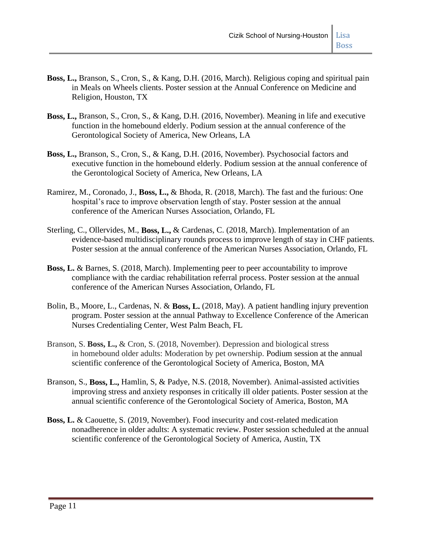- **Boss, L.,** Branson, S., Cron, S., & Kang, D.H. (2016, March). Religious coping and spiritual pain in Meals on Wheels clients. Poster session at the Annual Conference on Medicine and Religion, Houston, TX
- **Boss, L.,** Branson, S., Cron, S., & Kang, D.H. (2016, November). Meaning in life and executive function in the homebound elderly. Podium session at the annual conference of the Gerontological Society of America, New Orleans, LA
- **Boss, L.,** Branson, S., Cron, S., & Kang, D.H. (2016, November). Psychosocial factors and executive function in the homebound elderly. Podium session at the annual conference of the Gerontological Society of America, New Orleans, LA
- Ramirez, M., Coronado, J., **Boss, L.,** & Bhoda, R. (2018, March). The fast and the furious: One hospital's race to improve observation length of stay. Poster session at the annual conference of the American Nurses Association, Orlando, FL
- Sterling, C., Ollervides, M., **Boss, L.,** & Cardenas, C. (2018, March). Implementation of an evidence-based multidisciplinary rounds process to improve length of stay in CHF patients. Poster session at the annual conference of the American Nurses Association, Orlando, FL
- **Boss, L.** & Barnes, S. (2018, March). Implementing peer to peer accountability to improve compliance with the cardiac rehabilitation referral process. Poster session at the annual conference of the American Nurses Association, Orlando, FL
- Bolin, B., Moore, L., Cardenas, N. & **Boss, L.** (2018, May). A patient handling injury prevention program. Poster session at the annual Pathway to Excellence Conference of the American Nurses Credentialing Center, West Palm Beach, FL
- Branson, S. **Boss, L.,** & Cron, S. (2018, November). Depression and biological stress in homebound older adults: Moderation by pet ownership. Podium session at the annual scientific conference of the Gerontological Society of America, Boston, MA
- Branson, S., **Boss, L.,** Hamlin, S, & Padye, N.S. (2018, November). Animal-assisted activities improving stress and anxiety responses in critically ill older patients. Poster session at the annual scientific conference of the Gerontological Society of America, Boston, MA
- **Boss, L.** & Caouette, S. (2019, November). Food insecurity and cost-related medication nonadherence in older adults: A systematic review. Poster session scheduled at the annual scientific conference of the Gerontological Society of America, Austin, TX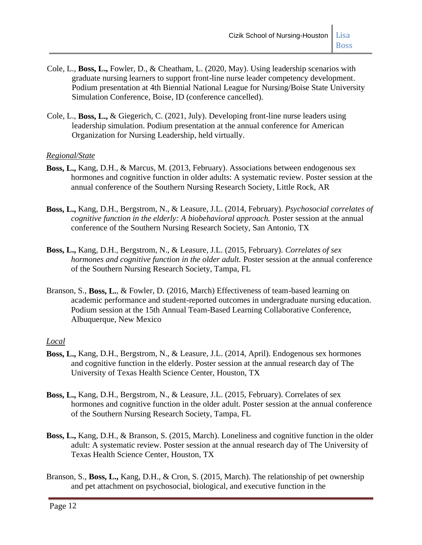- Cole, L., **Boss, L.,** Fowler, D., & Cheatham, L. (2020, May). Using leadership scenarios with graduate nursing learners to support front-line nurse leader competency development. Podium presentation at 4th Biennial National League for Nursing/Boise State University Simulation Conference, Boise, ID (conference cancelled).
- Cole, L., **Boss, L.,** & Giegerich, C. (2021, July). Developing front-line nurse leaders using leadership simulation. Podium presentation at the annual conference for American Organization for Nursing Leadership, held virtually.

#### *Regional/State*

- **Boss, L.,** Kang, D.H., & Marcus, M. (2013, February). Associations between endogenous sex hormones and cognitive function in older adults: A systematic review*.* Poster session at the annual conference of the Southern Nursing Research Society, Little Rock, AR
- **Boss, L.,** Kang, D.H., Bergstrom, N., & Leasure, J.L. (2014, February). *Psychosocial correlates of cognitive function in the elderly: A biobehavioral approach.* Poster session at the annual conference of the Southern Nursing Research Society, San Antonio, TX
- **Boss, L.,** Kang, D.H., Bergstrom, N., & Leasure, J.L. (2015, February). *Correlates of sex hormones and cognitive function in the older adult.* Poster session at the annual conference of the Southern Nursing Research Society, Tampa, FL
- Branson, S., **Boss, L.**, & Fowler, D. (2016, March) Effectiveness of team-based learning on academic performance and student-reported outcomes in undergraduate nursing education. Podium session at the 15th Annual Team-Based Learning Collaborative Conference, Albuquerque, New Mexico

#### *Local*

- **Boss, L.,** Kang, D.H., Bergstrom, N., & Leasure, J.L. (2014, April). Endogenous sex hormones and cognitive function in the elderly. Poster session at the annual research day of The University of Texas Health Science Center, Houston, TX
- **Boss, L.,** Kang, D.H., Bergstrom, N., & Leasure, J.L. (2015, February). Correlates of sex hormones and cognitive function in the older adult. Poster session at the annual conference of the Southern Nursing Research Society, Tampa, FL
- **Boss, L.,** Kang, D.H., & Branson, S. (2015, March). Loneliness and cognitive function in the older adult: A systematic review. Poster session at the annual research day of The University of Texas Health Science Center, Houston, TX
- Branson, S., **Boss, L.,** Kang, D.H., & Cron, S. (2015, March). The relationship of pet ownership and pet attachment on psychosocial, biological, and executive function in the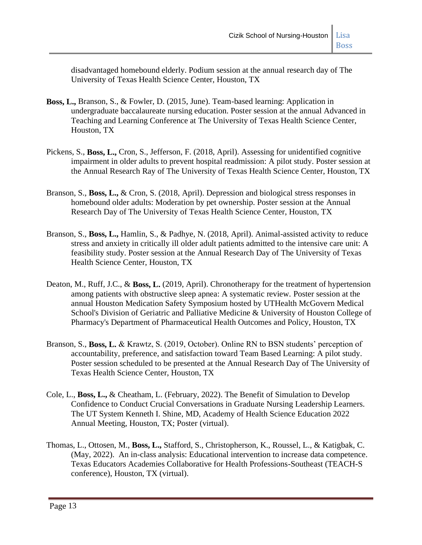disadvantaged homebound elderly. Podium session at the annual research day of The University of Texas Health Science Center, Houston, TX

- **Boss, L.,** Branson, S., & Fowler, D. (2015, June). Team-based learning: Application in undergraduate baccalaureate nursing education. Poster session at the annual Advanced in Teaching and Learning Conference at The University of Texas Health Science Center, Houston, TX
- Pickens, S., **Boss, L.,** Cron, S., Jefferson, F. (2018, April). Assessing for unidentified cognitive impairment in older adults to prevent hospital readmission: A pilot study. Poster session at the Annual Research Ray of The University of Texas Health Science Center, Houston, TX
- Branson, S., **Boss, L.,** & Cron, S. (2018, April). Depression and biological stress responses in homebound older adults: Moderation by pet ownership. Poster session at the Annual Research Day of The University of Texas Health Science Center, Houston, TX
- Branson, S., **Boss, L.,** Hamlin, S., & Padhye, N. (2018, April). Animal-assisted activity to reduce stress and anxiety in critically ill older adult patients admitted to the intensive care unit: A feasibility study. Poster session at the Annual Research Day of The University of Texas Health Science Center, Houston, TX
- Deaton, M., Ruff, J.C., & **Boss, L.** (2019, April). Chronotherapy for the treatment of hypertension among patients with obstructive sleep apnea: A systematic review. Poster session at the annual Houston Medication Safety Symposium hosted by UTHealth McGovern Medical School's Division of Geriatric and Palliative Medicine & University of Houston College of Pharmacy's Department of Pharmaceutical Health Outcomes and Policy, Houston, TX
- Branson, S., **Boss, L.** & Krawtz, S. (2019, October). Online RN to BSN students' perception of accountability, preference, and satisfaction toward Team Based Learning: A pilot study. Poster session scheduled to be presented at the Annual Research Day of The University of Texas Health Science Center, Houston, TX
- Cole, L., **Boss, L.,** & Cheatham, L. (February, 2022). The Benefit of Simulation to Develop Confidence to Conduct Crucial Conversations in Graduate Nursing Leadership Learners. The UT System Kenneth I. Shine, MD, Academy of Health Science Education 2022 Annual Meeting, Houston, TX; Poster (virtual).
- Thomas, L., Ottosen, M., **Boss, L.,** Stafford, S., Christopherson, K., Roussel, L., & Katigbak, C. (May, 2022). An in-class analysis: Educational intervention to increase data competence. Texas Educators Academies Collaborative for Health Professions-Southeast (TEACH-S conference), Houston, TX (virtual).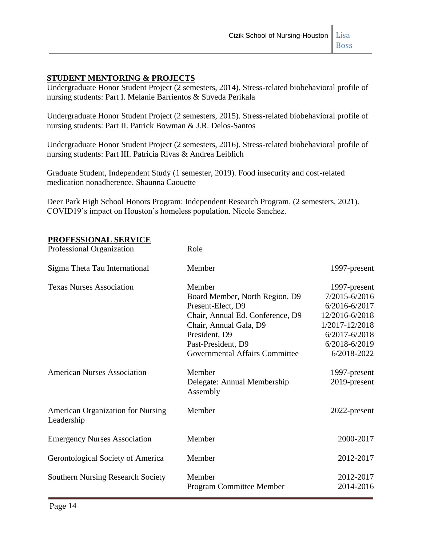## **STUDENT MENTORING & PROJECTS**

Undergraduate Honor Student Project (2 semesters, 2014). Stress-related biobehavioral profile of nursing students: Part I. Melanie Barrientos & Suveda Perikala

Undergraduate Honor Student Project (2 semesters, 2015). Stress-related biobehavioral profile of nursing students: Part II. Patrick Bowman & J.R. Delos-Santos

Undergraduate Honor Student Project (2 semesters, 2016). Stress-related biobehavioral profile of nursing students: Part III. Patricia Rivas & Andrea Leiblich

Graduate Student, Independent Study (1 semester, 2019). Food insecurity and cost-related medication nonadherence. Shaunna Caouette

Deer Park High School Honors Program: Independent Research Program. (2 semesters, 2021). COVID19's impact on Houston's homeless population. Nicole Sanchez.

#### **PROFESSIONAL SERVICE**

| Professional Organization                              | Role                                    |                   |
|--------------------------------------------------------|-----------------------------------------|-------------------|
| Sigma Theta Tau International                          | Member                                  | 1997-present      |
| <b>Texas Nurses Association</b>                        | Member                                  | 1997-present      |
|                                                        | Board Member, North Region, D9          | 7/2015-6/2016     |
|                                                        | Present-Elect, D9                       | 6/2016-6/2017     |
|                                                        | Chair, Annual Ed. Conference, D9        | 12/2016-6/2018    |
|                                                        | Chair, Annual Gala, D9                  | 1/2017-12/2018    |
|                                                        | President, D9                           | $6/2017 - 6/2018$ |
|                                                        | Past-President, D9                      | 6/2018-6/2019     |
|                                                        | <b>Governmental Affairs Committee</b>   | 6/2018-2022       |
| <b>American Nurses Association</b>                     | Member                                  | 1997-present      |
|                                                        | Delegate: Annual Membership<br>Assembly | 2019-present      |
| <b>American Organization for Nursing</b><br>Leadership | Member                                  | 2022-present      |
| <b>Emergency Nurses Association</b>                    | Member                                  | 2000-2017         |
| Gerontological Society of America                      | Member                                  | 2012-2017         |
| <b>Southern Nursing Research Society</b>               | Member                                  | 2012-2017         |
|                                                        | Program Committee Member                | 2014-2016         |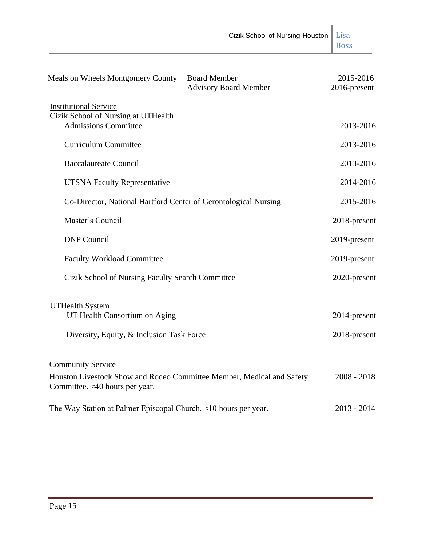|                                                                                                                                              | Cizik School of Nursing-Houston                     | Lisa<br><b>Boss</b>          |
|----------------------------------------------------------------------------------------------------------------------------------------------|-----------------------------------------------------|------------------------------|
| Meals on Wheels Montgomery County                                                                                                            | <b>Board Member</b><br><b>Advisory Board Member</b> | 2015-2016<br>2016-present    |
| <b>Institutional Service</b><br><b>Cizik School of Nursing at UTHealth</b><br><b>Admissions Committee</b>                                    |                                                     | 2013-2016                    |
| <b>Curriculum Committee</b>                                                                                                                  |                                                     | 2013-2016                    |
| <b>Baccalaureate Council</b>                                                                                                                 |                                                     | 2013-2016                    |
| <b>UTSNA Faculty Representative</b>                                                                                                          |                                                     | 2014-2016                    |
| Co-Director, National Hartford Center of Gerontological Nursing                                                                              |                                                     | 2015-2016                    |
| Master's Council                                                                                                                             |                                                     | 2018-present                 |
| <b>DNP</b> Council                                                                                                                           |                                                     | 2019-present                 |
| <b>Faculty Workload Committee</b>                                                                                                            |                                                     | 2019-present                 |
| Cizik School of Nursing Faculty Search Committee                                                                                             |                                                     | 2020-present                 |
| <b>UTHealth System</b><br>UT Health Consortium on Aging<br>Diversity, Equity, & Inclusion Task Force                                         |                                                     | 2014-present<br>2018-present |
| <b>Community Service</b><br>Houston Livestock Show and Rodeo Committee Member, Medical and Safety<br>Committee. $\approx$ 40 hours per year. |                                                     | $2008 - 2018$                |
| The Way Station at Palmer Episcopal Church. $\approx$ 10 hours per year.                                                                     |                                                     | $2013 - 2014$                |